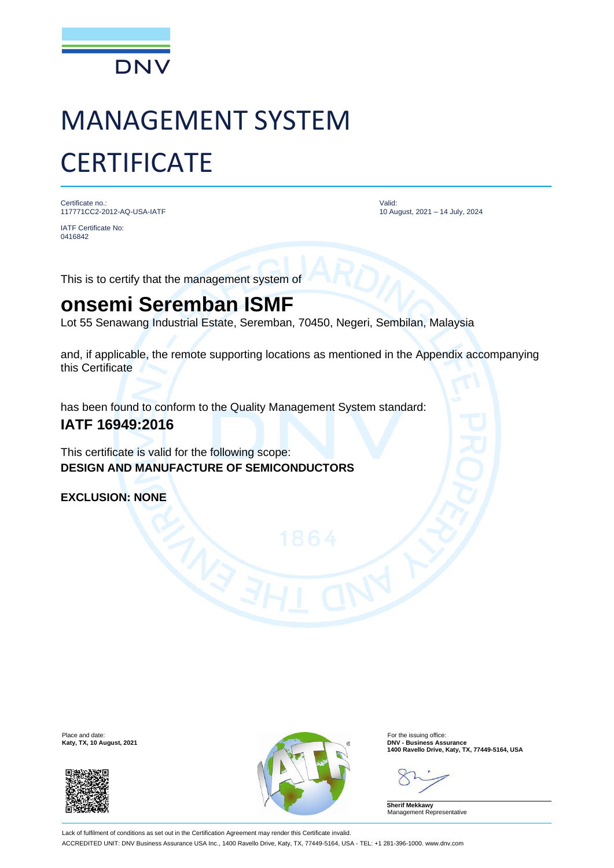

# MANAGEMENT SYSTEM **CERTIFICATE**

Certificate no.: 117771CC2-2012-AQ-USA-IATF

IATF Certificate No: 0416842

Valid: 10 August, 2021 – 14 July, 2024

This is to certify that the management system of

## **onsemi Seremban ISMF**

Lot 55 Senawang Industrial Estate, Seremban, 70450, Negeri, Sembilan, Malaysia

and, if applicable, the remote supporting locations as mentioned in the Appendix accompanying this Certificate

has been found to conform to the Quality Management System standard:

### **IATF 16949:2016**

This certificate is valid for the following scope: **DESIGN AND MANUFACTURE OF SEMICONDUCTORS**

**EXCLUSION: NONE**





**Katy, TX, 10 August, 2021**<br> **1400 Ravello Drive, Katy, TX, 77449-5164, USA**<br> **1400 Ravello Drive, Katy, TX, 77449-5164, USA** 

**Sherif Mekkawy** Management Representative

Lack of fulfilment of conditions as set out in the Certification Agreement may render this Certificate invalid. ACCREDITED UNIT: DNV Business Assurance USA Inc., 1400 Ravello Drive, Katy, TX, 77449-5164, USA - TEL: +1 281-396-1000. www.dnv.com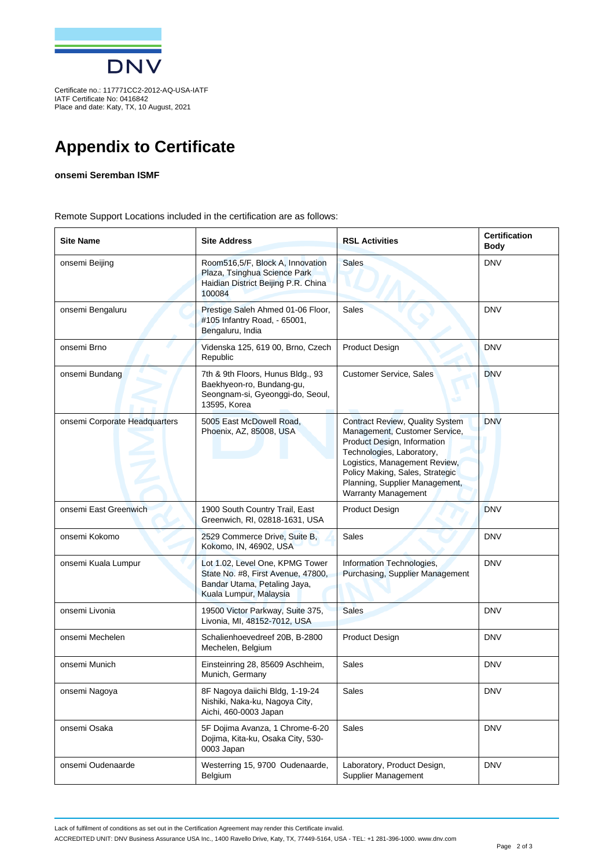

Certificate no.: 117771CC2-2012-AQ-USA-IATF IATF Certificate No: 0416842 Place and date: Katy, TX, 10 August, 2021

## **Appendix to Certificate**

#### **onsemi Seremban ISMF**

Remote Support Locations included in the certification are as follows:

| <b>Site Name</b>              | <b>Site Address</b>                                                                                                             | <b>RSL Activities</b>                                                                                                                                                                                                                                                   | <b>Certification</b><br>Body |
|-------------------------------|---------------------------------------------------------------------------------------------------------------------------------|-------------------------------------------------------------------------------------------------------------------------------------------------------------------------------------------------------------------------------------------------------------------------|------------------------------|
| onsemi Beijing                | Room516,5/F, Block A, Innovation<br>Plaza, Tsinghua Science Park<br>Haidian District Beijing P.R. China<br>100084               | <b>Sales</b>                                                                                                                                                                                                                                                            | <b>DNV</b>                   |
| onsemi Bengaluru              | Prestige Saleh Ahmed 01-06 Floor,<br>#105 Infantry Road, - 65001,<br>Bengaluru, India                                           | <b>Sales</b>                                                                                                                                                                                                                                                            | <b>DNV</b>                   |
| onsemi Brno                   | Videnska 125, 619 00, Brno, Czech<br>Republic                                                                                   | <b>Product Design</b>                                                                                                                                                                                                                                                   | <b>DNV</b>                   |
| onsemi Bundang                | 7th & 9th Floors, Hunus Bldg., 93<br>Baekhyeon-ro, Bundang-gu,<br>Seongnam-si, Gyeonggi-do, Seoul,<br>13595, Korea              | <b>Customer Service, Sales</b>                                                                                                                                                                                                                                          | <b>DNV</b>                   |
| onsemi Corporate Headquarters | 5005 East McDowell Road,<br>Phoenix, AZ, 85008, USA                                                                             | <b>Contract Review, Quality System</b><br>Management, Customer Service,<br>Product Design, Information<br>Technologies, Laboratory,<br>Logistics, Management Review,<br>Policy Making, Sales, Strategic<br>Planning, Supplier Management,<br><b>Warranty Management</b> | <b>DNV</b>                   |
| onsemi East Greenwich         | 1900 South Country Trail, East<br>Greenwich, RI, 02818-1631, USA                                                                | <b>Product Design</b>                                                                                                                                                                                                                                                   | <b>DNV</b>                   |
| onsemi Kokomo                 | 2529 Commerce Drive, Suite B,<br>Kokomo, IN, 46902, USA                                                                         | <b>Sales</b>                                                                                                                                                                                                                                                            | <b>DNV</b>                   |
| onsemi Kuala Lumpur           | Lot 1.02, Level One, KPMG Tower<br>State No. #8, First Avenue, 47800,<br>Bandar Utama, Petaling Jaya,<br>Kuala Lumpur, Malaysia | Information Technologies,<br>Purchasing, Supplier Management                                                                                                                                                                                                            | <b>DNV</b>                   |
| onsemi Livonia                | 19500 Victor Parkway, Suite 375,<br>Livonia, MI, 48152-7012, USA                                                                | <b>Sales</b>                                                                                                                                                                                                                                                            | <b>DNV</b>                   |
| onsemi Mechelen               | Schalienhoevedreef 20B, B-2800<br>Mechelen, Belgium                                                                             | <b>Product Design</b>                                                                                                                                                                                                                                                   | <b>DNV</b>                   |
| onsemi Munich                 | Einsteinring 28, 85609 Aschheim,<br>Munich, Germany                                                                             | Sales                                                                                                                                                                                                                                                                   | <b>DNV</b>                   |
| onsemi Nagoya                 | 8F Nagoya daiichi Bldg, 1-19-24<br>Nishiki, Naka-ku, Nagoya City,<br>Aichi, 460-0003 Japan                                      | Sales                                                                                                                                                                                                                                                                   | <b>DNV</b>                   |
| onsemi Osaka                  | 5F Dojima Avanza, 1 Chrome-6-20<br>Dojima, Kita-ku, Osaka City, 530-<br>0003 Japan                                              | Sales                                                                                                                                                                                                                                                                   | <b>DNV</b>                   |
| onsemi Oudenaarde             | Westerring 15, 9700 Oudenaarde,<br>Belgium                                                                                      | Laboratory, Product Design,<br>Supplier Management                                                                                                                                                                                                                      | <b>DNV</b>                   |

Lack of fulfilment of conditions as set out in the Certification Agreement may render this Certificate invalid.

ACCREDITED UNIT: DNV Business Assurance USA Inc., 1400 Ravello Drive, Katy, TX, 77449-5164, USA - TEL: +1 281-396-1000. www.dnv.com